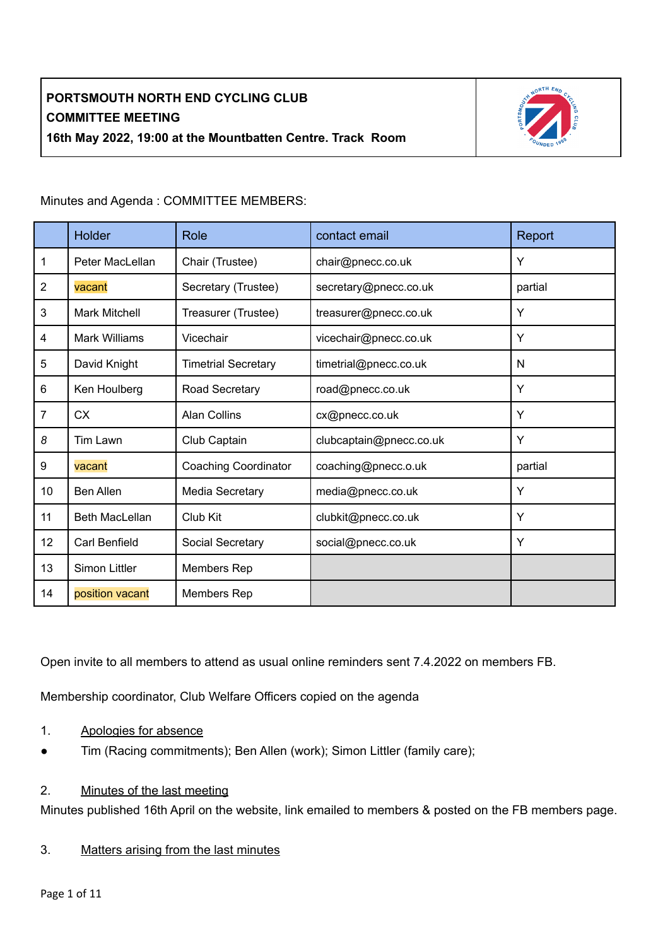

Minutes and Agenda : COMMITTEE MEMBERS:

|                | Holder                | Role                        | contact email           | Report  |  |  |
|----------------|-----------------------|-----------------------------|-------------------------|---------|--|--|
| 1              | Peter MacLellan       | Chair (Trustee)             | chair@pnecc.co.uk       | Y       |  |  |
| $\overline{2}$ | vacant                | Secretary (Trustee)         | secretary@pnecc.co.uk   | partial |  |  |
| 3              | <b>Mark Mitchell</b>  | Treasurer (Trustee)         | treasurer@pnecc.co.uk   | Y       |  |  |
| $\overline{4}$ | <b>Mark Williams</b>  | Vicechair                   | vicechair@pnecc.co.uk   | Y       |  |  |
| 5              | David Knight          | <b>Timetrial Secretary</b>  | timetrial@pnecc.co.uk   | N       |  |  |
| 6              | Ken Houlberg          | Road Secretary              | road@pnecc.co.uk        | Y       |  |  |
| $\overline{7}$ | <b>CX</b>             | <b>Alan Collins</b>         | cx@pnecc.co.uk          | Y       |  |  |
| 8              | Tim Lawn              | Club Captain                | clubcaptain@pnecc.co.uk | Y       |  |  |
| 9              | vacant                | <b>Coaching Coordinator</b> | coaching@pnecc.o.uk     | partial |  |  |
| 10             | <b>Ben Allen</b>      | Media Secretary             | media@pnecc.co.uk       | Y       |  |  |
| 11             | <b>Beth MacLellan</b> | Club Kit                    | clubkit@pnecc.co.uk     | Y       |  |  |
| 12             | Carl Benfield         | Social Secretary            | social@pnecc.co.uk      | Y       |  |  |
| 13             | Simon Littler         | Members Rep                 |                         |         |  |  |
| 14             | position vacant       | Members Rep                 |                         |         |  |  |

Open invite to all members to attend as usual online reminders sent 7.4.2022 on members FB.

Membership coordinator, Club Welfare Officers copied on the agenda

- 1. Apologies for absence
- Tim (Racing commitments); Ben Allen (work); Simon Littler (family care);

### 2. Minutes of the last meeting

Minutes published 16th April on the website, link emailed to members & posted on the FB members page.

#### 3. Matters arising from the last minutes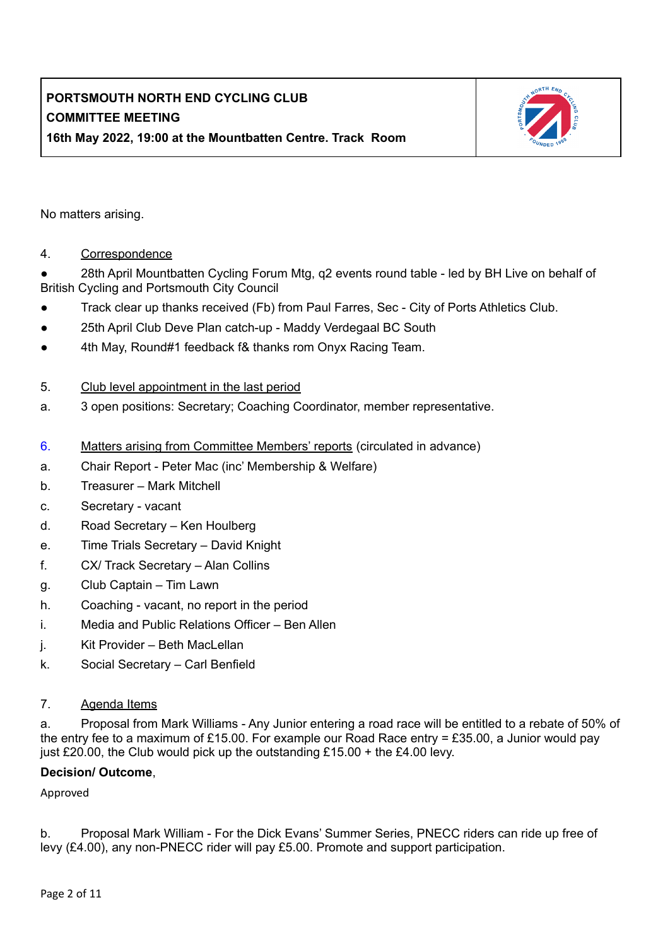

No matters arising.

### 4. Correspondence

28th April Mountbatten Cycling Forum Mtg, q2 events round table - led by BH Live on behalf of British Cycling and Portsmouth City Council

- Track clear up thanks received (Fb) from Paul Farres, Sec City of Ports Athletics Club.
- 25th April Club Deve Plan catch-up Maddy Verdegaal BC South
- 4th May, Round#1 feedback f& thanks rom Onyx Racing Team.
- 5. Club level appointment in the last period
- a. 3 open positions: Secretary; Coaching Coordinator, member representative.
- 6. Matters arising from Committee Members' reports (circulated in advance)
- a. Chair Report Peter Mac (inc' Membership & Welfare)
- b. Treasurer Mark Mitchell
- c. Secretary vacant
- d. Road Secretary Ken Houlberg
- e. Time Trials Secretary David Knight
- f. CX/ Track Secretary Alan Collins
- g. Club Captain Tim Lawn
- h. Coaching vacant, no report in the period
- i. Media and Public Relations Officer Ben Allen
- j. Kit Provider Beth MacLellan
- k. Social Secretary Carl Benfield

#### 7. Agenda Items

a. Proposal from Mark Williams - Any Junior entering a road race will be entitled to a rebate of 50% of the entry fee to a maximum of £15.00. For example our Road Race entry = £35.00, a Junior would pay just £20.00, the Club would pick up the outstanding  $£15.00 +$  the £4.00 levy.

#### **Decision/ Outcome**,

Approved

b. Proposal Mark William - For the Dick Evans' Summer Series, PNECC riders can ride up free of levy (£4.00), any non-PNECC rider will pay £5.00. Promote and support participation.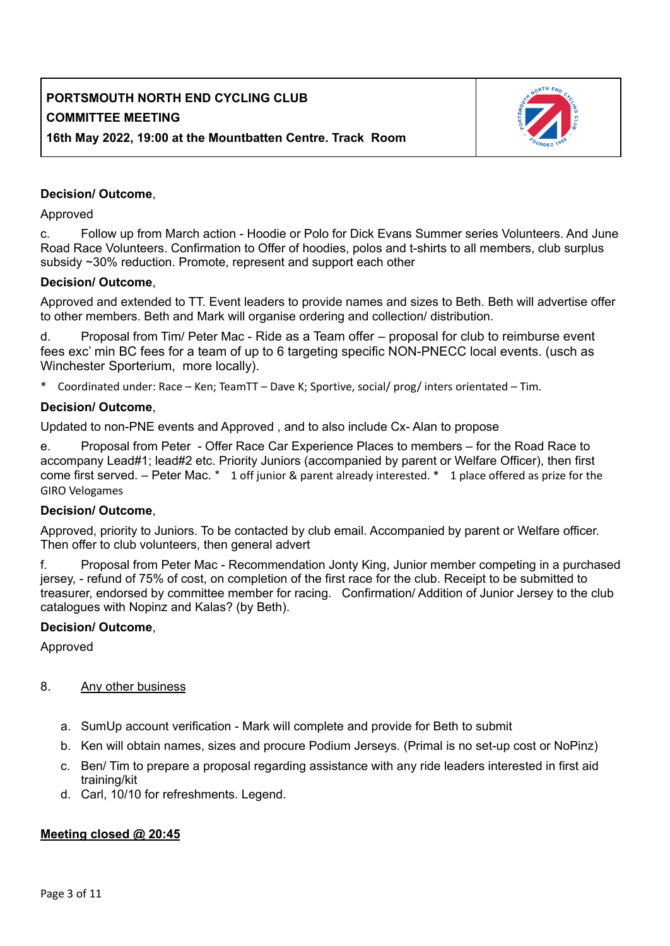

### **Decision/ Outcome**,

Approved

c. Follow up from March action - Hoodie or Polo for Dick Evans Summer series Volunteers. And June Road Race Volunteers. Confirmation to Offer of hoodies, polos and t-shirts to all members, club surplus subsidy ~30% reduction. Promote, represent and support each other

#### **Decision/ Outcome**,

Approved and extended to TT. Event leaders to provide names and sizes to Beth. Beth will advertise offer to other members. Beth and Mark will organise ordering and collection/ distribution.

d. Proposal from Tim/ Peter Mac - Ride as a Team offer – proposal for club to reimburse event fees exc' min BC fees for a team of up to 6 targeting specific NON-PNECC local events. (usch as Winchester Sporterium, more locally).

\* Coordinated under: Race – Ken; TeamTT – Dave K; Sportive, social/ prog/ inters orientated – Tim.

#### **Decision/ Outcome**,

Updated to non-PNE events and Approved , and to also include Cx- Alan to propose

e. Proposal from Peter - Offer Race Car Experience Places to members – for the Road Race to accompany Lead#1; lead#2 etc. Priority Juniors (accompanied by parent or Welfare Officer), then first come first served. – Peter Mac. \* 1 off junior & parent already interested. \* 1 place offered as prize for the GIRO Velogames

#### **Decision/ Outcome**,

Approved, priority to Juniors. To be contacted by club email. Accompanied by parent or Welfare officer. Then offer to club volunteers, then general advert

f. Proposal from Peter Mac - Recommendation Jonty King, Junior member competing in a purchased jersey, - refund of 75% of cost, on completion of the first race for the club. Receipt to be submitted to treasurer, endorsed by committee member for racing. Confirmation/ Addition of Junior Jersey to the club catalogues with Nopinz and Kalas? (by Beth).

#### **Decision/ Outcome**,

Approved

#### 8. Any other business

- a. SumUp account verification Mark will complete and provide for Beth to submit
- b. Ken will obtain names, sizes and procure Podium Jerseys. (Primal is no set-up cost or NoPinz)
- c. Ben/ Tim to prepare a proposal regarding assistance with any ride leaders interested in first aid training/kit
- d. Carl, 10/10 for refreshments. Legend.

#### **Meeting closed @ 20:45**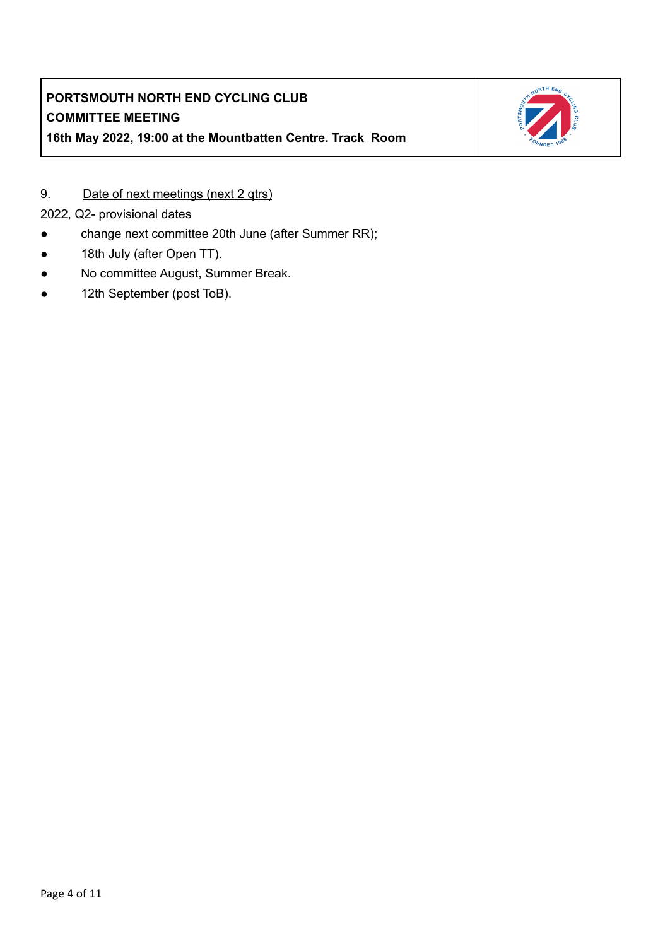

9. Date of next meetings (next 2 qtrs)

2022, Q2- provisional dates

- change next committee 20th June (after Summer RR);
- 18th July (after Open TT).
- No committee August, Summer Break.
- 12th September (post ToB).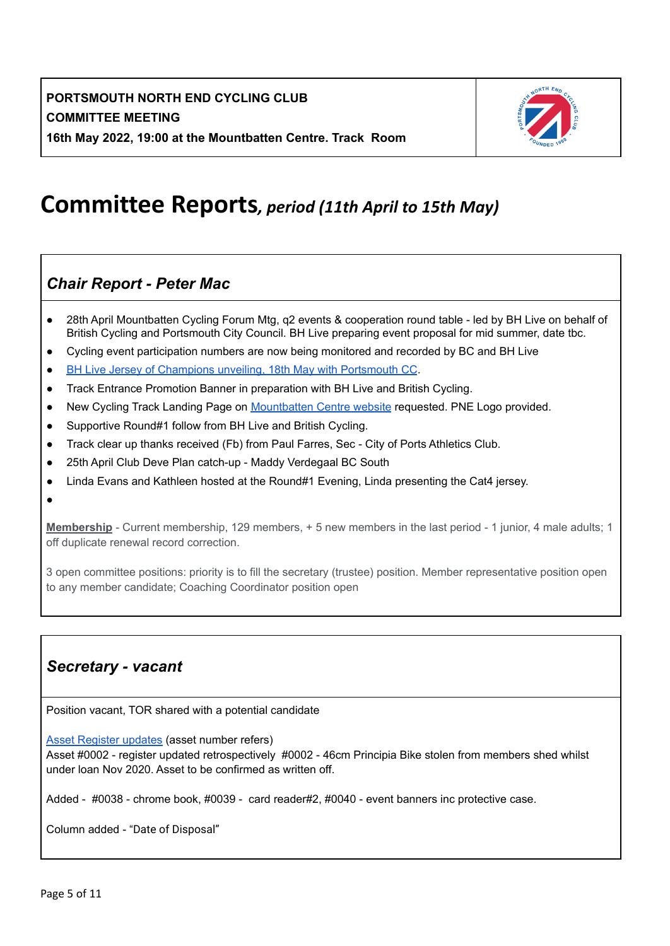

# **Committee Reports***, period (11th April to 15th May)*

## *Chair Report - Peter Mac*

- 28th April Mountbatten Cycling Forum Mtg, q2 events & cooperation round table led by BH Live on behalf of British Cycling and Portsmouth City Council. BH Live preparing event proposal for mid summer, date tbc.
- Cycling event participation numbers are now being monitored and recorded by BC and BH Live
- BH Live Jersey of Champions unveiling, 18th May with [Portsmouth](https://www.pnecc.co.uk/index.php/2022/05/19/pnecc-jersey-of-champions-unveiled/) CC.
- Track Entrance Promotion Banner in preparation with BH Live and British Cycling.
- New Cycling Track Landing Page on [Mountbatten](https://www.bhliveactive.org.uk/centres/mountbatten-leisure-centre/) Centre website requested. PNE Logo provided.
- Supportive Round#1 follow from BH Live and British Cycling.
- Track clear up thanks received (Fb) from Paul Farres, Sec City of Ports Athletics Club.
- 25th April Club Deve Plan catch-up Maddy Verdegaal BC South
- Linda Evans and Kathleen hosted at the Round#1 Evening, Linda presenting the Cat4 jersey.

●

**Membership** - Current membership, 129 members, + 5 new members in the last period - 1 junior, 4 male adults; 1 off duplicate renewal record correction.

3 open committee positions: priority is to fill the secretary (trustee) position. Member representative position open to any member candidate; Coaching Coordinator position open

## *Secretary - vacant*

Position vacant, TOR shared with a potential candidate

Asset [Register](https://docs.google.com/spreadsheets/d/1q8tOvyurYVGh9_wHeoyu70cHY4nYvaKl/edit#gid=1463346266) updates (asset number refers)

Asset #0002 - register updated retrospectively #0002 - 46cm Principia Bike stolen from members shed whilst under loan Nov 2020. Asset to be confirmed as written off.

Added - #0038 - chrome book, #0039 - card reader#2, #0040 - event banners inc protective case.

Column added - "Date of Disposal"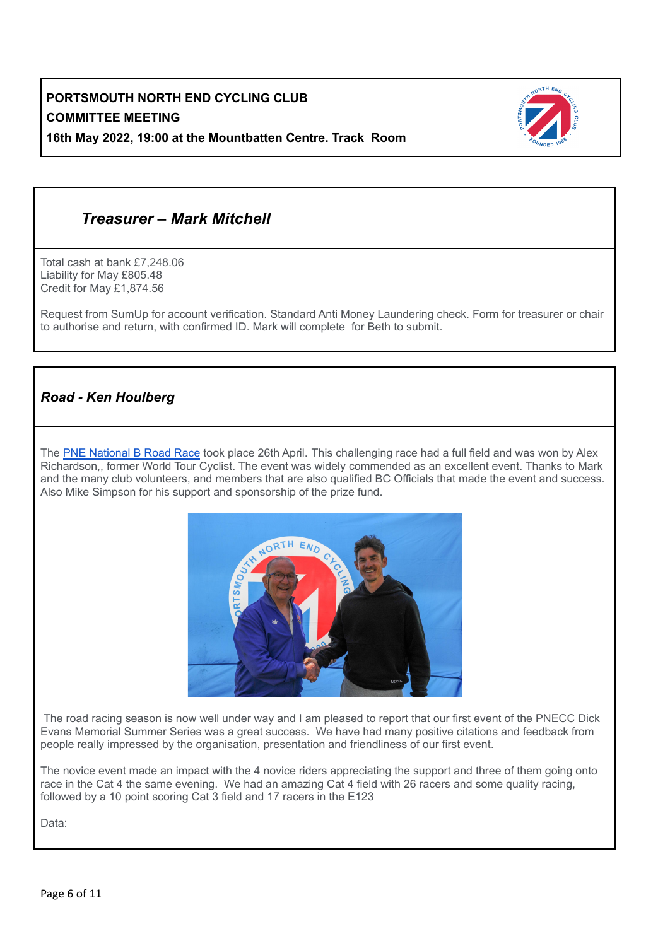

## *Treasurer – Mark Mitchell*

Total cash at bank £7,248.06 Liability for May £805.48 Credit for May £1,874.56

Request from SumUp for account verification. Standard Anti Money Laundering check. Form for treasurer or chair to authorise and return, with confirmed ID. Mark will complete for Beth to submit.

### *Road - Ken Houlberg*

The PNE [National](https://www.facebook.com/PNENationalB) B Road Race took place 26th April. This challenging race had a full field and was won by Alex Richardson,, former World Tour Cyclist. The event was widely commended as an excellent event. Thanks to Mark and the many club volunteers, and members that are also qualified BC Officials that made the event and success. Also Mike Simpson for his support and sponsorship of the prize fund.



The road racing season is now well under way and I am pleased to report that our first event of the PNECC Dick Evans Memorial Summer Series was a great success. We have had many positive citations and feedback from people really impressed by the organisation, presentation and friendliness of our first event.

The novice event made an impact with the 4 novice riders appreciating the support and three of them going onto race in the Cat 4 the same evening. We had an amazing Cat 4 field with 26 racers and some quality racing, followed by a 10 point scoring Cat 3 field and 17 racers in the E123

Data: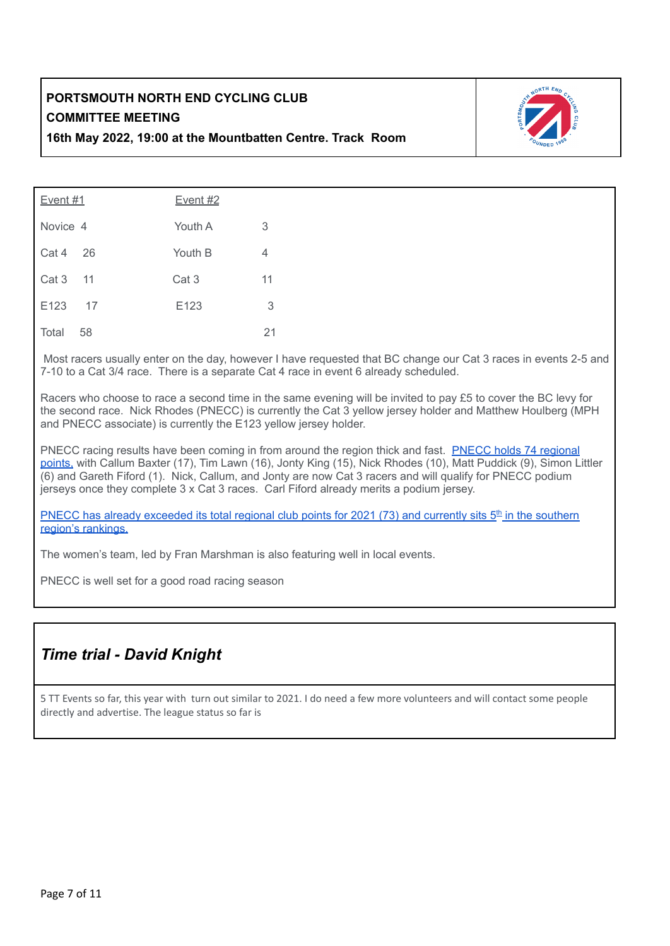

| <b>Event #1</b>  |      | <u>Event #2</u> |    |  |  |  |  |  |
|------------------|------|-----------------|----|--|--|--|--|--|
| Novice 4         |      | Youth A         | 3  |  |  |  |  |  |
| Cat 4            | 26   | Youth B         | 4  |  |  |  |  |  |
| Cat 3            | 11   | Cat 3           | 11 |  |  |  |  |  |
| E <sub>123</sub> | - 17 | E123            | 3  |  |  |  |  |  |
| Total            | 58   |                 | 21 |  |  |  |  |  |

Most racers usually enter on the day, however I have requested that BC change our Cat 3 races in events 2-5 and 7-10 to a Cat 3/4 race. There is a separate Cat 4 race in event 6 already scheduled.

Racers who choose to race a second time in the same evening will be invited to pay £5 to cover the BC levy for the second race. Nick Rhodes (PNECC) is currently the Cat 3 yellow jersey holder and Matthew Houlberg (MPH and PNECC associate) is currently the E123 yellow jersey holder.

PNECC racing results have been coming in from around the region thick and fast. PNECC holds 74 [regional](https://www.britishcycling.org.uk/clubpoints?club_id=3158&year=2022&type=regional&resultsperpage=100) [points,](https://www.britishcycling.org.uk/clubpoints?club_id=3158&year=2022&type=regional&resultsperpage=100) with Callum Baxter (17), Tim Lawn (16), Jonty King (15), Nick Rhodes (10), Matt Puddick (9), Simon Littler (6) and Gareth Fiford (1). Nick, Callum, and Jonty are now Cat 3 racers and will qualify for PNECC podium jerseys once they complete 3 x Cat 3 races. Carl Fiford already merits a podium jersey.

PNECC has already [exceeded](https://www.pnecc.co.uk/index.php/ranking-and-results/) its total regional club points for 2021 (73) and currently sits  $5<sup>th</sup>$  in the southern region's [rankings.](https://www.pnecc.co.uk/index.php/ranking-and-results/)

The women's team, led by Fran Marshman is also featuring well in local events.

PNECC is well set for a good road racing season

## *Time trial - David Knight*

5 TT Events so far, this year with turn out similar to 2021. I do need a few more volunteers and will contact some people directly and advertise. The league status so far is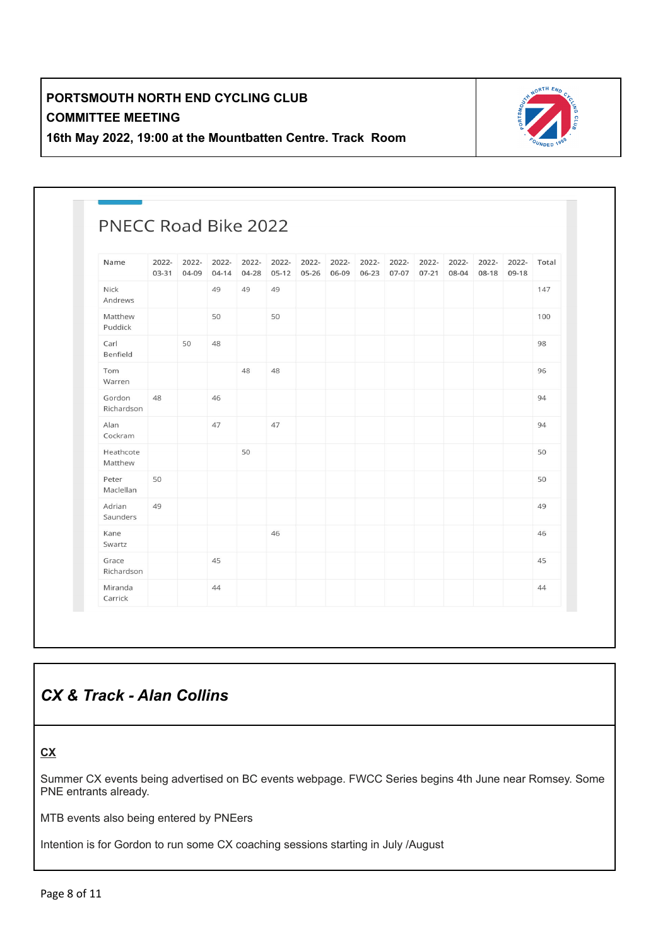

| PNECC Road Bike 2022 |                |                |                    |                |                  |                    |                |                |                |                    |                |                |                |       |
|----------------------|----------------|----------------|--------------------|----------------|------------------|--------------------|----------------|----------------|----------------|--------------------|----------------|----------------|----------------|-------|
| Name                 | 2022-<br>03-31 | 2022-<br>04-09 | 2022-<br>$04 - 14$ | 2022-<br>04-28 | 2022-<br>$05-12$ | 2022-<br>$05 - 26$ | 2022-<br>06-09 | 2022-<br>06-23 | 2022-<br>07-07 | 2022-<br>$07 - 21$ | 2022-<br>08-04 | 2022-<br>08-18 | 2022-<br>09-18 | Total |
| Nick<br>Andrews      |                |                | 49                 | 49             | 49               |                    |                |                |                |                    |                |                |                | 147   |
| Matthew<br>Puddick   |                |                | 50                 |                | 50               |                    |                |                |                |                    |                |                |                | 100   |
| Carl<br>Benfield     |                | 50             | 48                 |                |                  |                    |                |                |                |                    |                |                |                | 98    |
| Tom<br>Warren        |                |                |                    | 48             | 48               |                    |                |                |                |                    |                |                |                | 96    |
| Gordon<br>Richardson | 48             |                | 46                 |                |                  |                    |                |                |                |                    |                |                |                | 94    |
| Alan<br>Cockram      |                |                | 47                 |                | 47               |                    |                |                |                |                    |                |                |                | 94    |
| Heathcote<br>Matthew |                |                |                    | 50             |                  |                    |                |                |                |                    |                |                |                | 50    |
| Peter<br>Maclellan   | 50             |                |                    |                |                  |                    |                |                |                |                    |                |                |                | 50    |
| Adrian<br>Saunders   | 49             |                |                    |                |                  |                    |                |                |                |                    |                |                |                | 49    |
| Kane<br>Swartz       |                |                |                    |                | 46               |                    |                |                |                |                    |                |                |                | 46    |
| Grace<br>Richardson  |                |                | 45                 |                |                  |                    |                |                |                |                    |                |                |                | 45    |
| Miranda<br>Carrick   |                |                | 44                 |                |                  |                    |                |                |                |                    |                |                |                | 44    |

## *CX & Track - Alan Collins*

### **CX**

Summer CX events being advertised on BC events webpage. FWCC Series begins 4th June near Romsey. Some PNE entrants already.

MTB events also being entered by PNEers

Intention is for Gordon to run some CX coaching sessions starting in July /August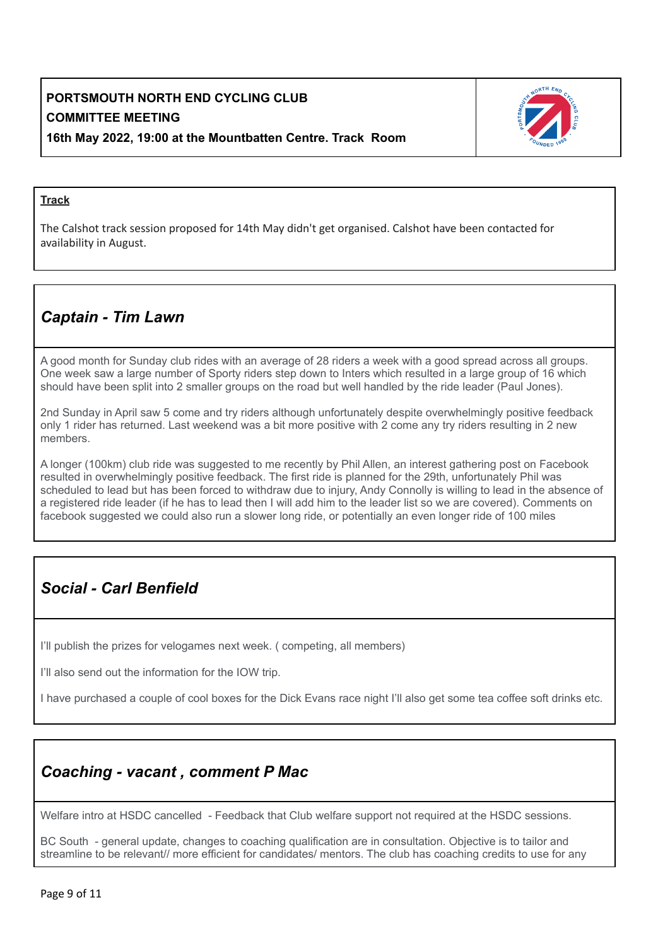

#### **Track**

The Calshot track session proposed for 14th May didn't get organised. Calshot have been contacted for availability in August.

## *Captain - Tim Lawn*

A good month for Sunday club rides with an average of 28 riders a week with a good spread across all groups. One week saw a large number of Sporty riders step down to Inters which resulted in a large group of 16 which should have been split into 2 smaller groups on the road but well handled by the ride leader (Paul Jones).

2nd Sunday in April saw 5 come and try riders although unfortunately despite overwhelmingly positive feedback only 1 rider has returned. Last weekend was a bit more positive with 2 come any try riders resulting in 2 new members.

A longer (100km) club ride was suggested to me recently by Phil Allen, an interest gathering post on Facebook resulted in overwhelmingly positive feedback. The first ride is planned for the 29th, unfortunately Phil was scheduled to lead but has been forced to withdraw due to injury, Andy Connolly is willing to lead in the absence of a registered ride leader (if he has to lead then I will add him to the leader list so we are covered). Comments on facebook suggested we could also run a slower long ride, or potentially an even longer ride of 100 miles

## *Social - Carl Benfield*

I'll publish the prizes for velogames next week. ( competing, all members)

I'll also send out the information for the IOW trip.

I have purchased a couple of cool boxes for the Dick Evans race night I'll also get some tea coffee soft drinks etc.

## *Coaching - vacant , comment P Mac*

Welfare intro at HSDC cancelled - Feedback that Club welfare support not required at the HSDC sessions.

BC South - general update, changes to coaching qualification are in consultation. Objective is to tailor and streamline to be relevant// more efficient for candidates/ mentors. The club has coaching credits to use for any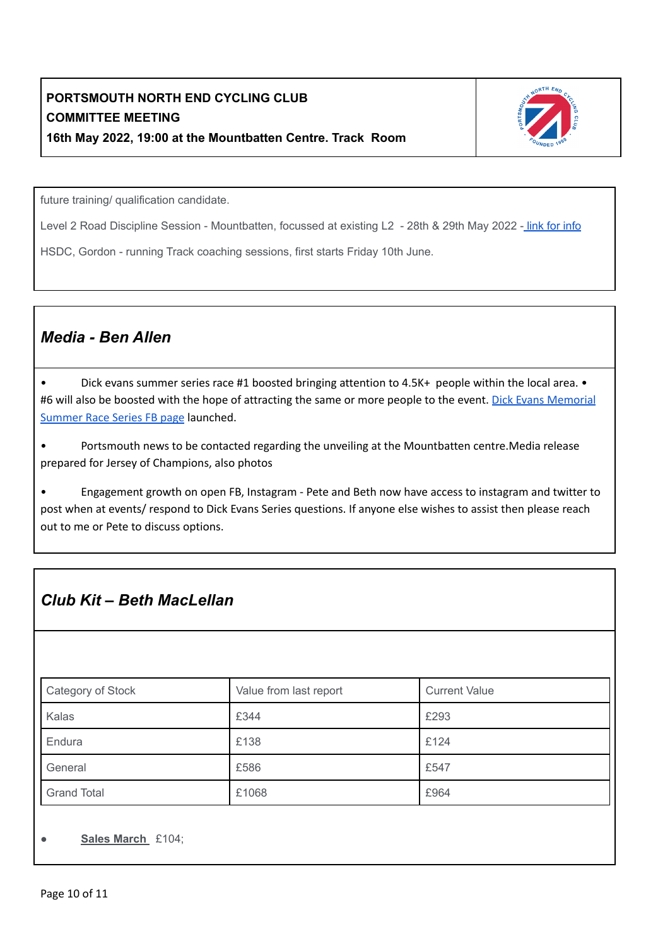

future training/ qualification candidate.

Level 2 Road Discipline Session - Mountbatten, focussed at existing L2 - 28th & 29th May 2022 - link for [info](https://www.britishcycling.org.uk/events/course/details/7334?fbclid=IwAR14f-U6CCnE2DdSUhelXEzFypyXAI6j6KVsJxNwmq3nAJ6efMk4EYaPZww)r

HSDC, Gordon - running Track coaching sessions, first starts Friday 10th June.

### *Media - Ben Allen*

• Dick evans summer series race #1 boosted bringing attention to 4.5K+ people within the local area. • #6 will also be boosted with the hope of attracting the same or more people to the event. Dick Evans [Memorial](https://www.facebook.com/PNECCDickEvansMemorial) [Summer](https://www.facebook.com/PNECCDickEvansMemorial) Race Series FB page launched.

• Portsmouth news to be contacted regarding the unveiling at the Mountbatten centre.Media release prepared for Jersey of Champions, also photos

• Engagement growth on open FB, Instagram - Pete and Beth now have access to instagram and twitter to post when at events/ respond to Dick Evans Series questions. If anyone else wishes to assist then please reach out to me or Pete to discuss options.

## *Club Kit – Beth MacLellan*

| Category of Stock  | Value from last report | <b>Current Value</b> |  |  |  |  |
|--------------------|------------------------|----------------------|--|--|--|--|
| Kalas              | £344                   | £293                 |  |  |  |  |
| Endura             | £138                   | £124                 |  |  |  |  |
| General            | £586                   | £547                 |  |  |  |  |
| <b>Grand Total</b> | £1068                  | £964                 |  |  |  |  |

#### ● **Sales March** £104;